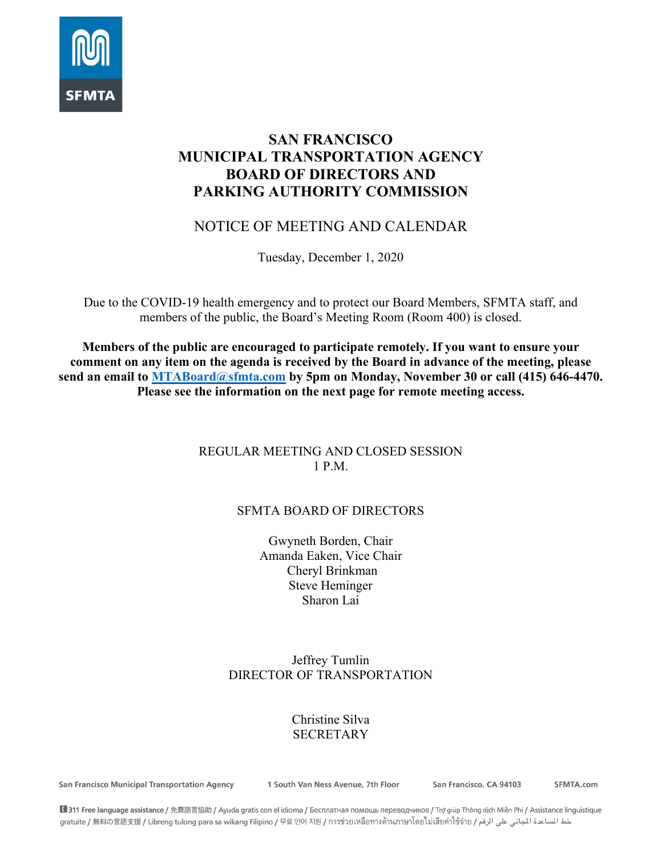

# **SAN FRANCISCO MUNICIPAL TRANSPORTATION AGENCY BOARD OF DIRECTORS AND PARKING AUTHORITY COMMISSION**

# NOTICE OF MEETING AND CALENDAR

Tuesday, December 1, 2020

Due to the COVID-19 health emergency and to protect our Board Members, SFMTA staff, and members of the public, the Board's Meeting Room (Room 400) is closed.

**Members of the public are encouraged to participate remotely. If you want to ensure your comment on any item on the agenda is received by the Board in advance of the meeting, please send an email to [MTABoard@sfmta.com](mailto:MTABoard@sfmta.com) by 5pm on Monday, November 30 or call (415) 646-4470. Please see the information on the next page for remote meeting access.** 

### REGULAR MEETING AND CLOSED SESSION 1 P.M.

## SFMTA BOARD OF DIRECTORS

Gwyneth Borden, Chair Amanda Eaken, Vice Chair Cheryl Brinkman Steve Heminger Sharon Lai

### Jeffrey Tumlin DIRECTOR OF TRANSPORTATION

## Christine Silva SECRETARY

**San Francisco Municipal Transportation Agency** 

1 South Van Ness Avenue, 7th Floor

San Francisco, CA 94103

SFMTA.com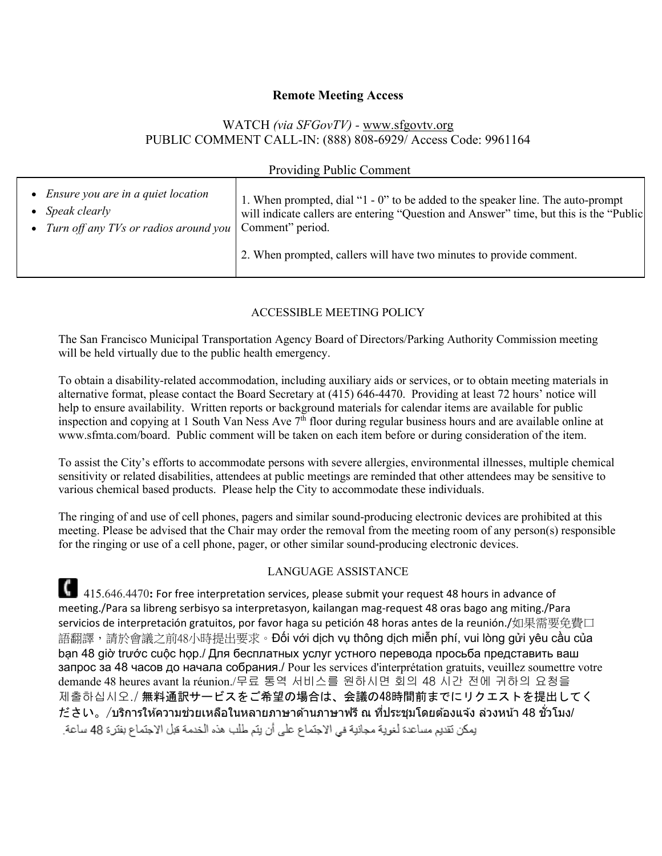#### **Remote Meeting Access**

#### WATCH *(via SFGovTV) -* [www.sfgovtv.org](http://www.sfgovtv.org/) PUBLIC COMMENT CALL-IN: (888) 808-6929/ Access Code: 9961164

| <b>Providing Public Comment</b>                                                                    |                                                                                                                                                                                                                                                                      |
|----------------------------------------------------------------------------------------------------|----------------------------------------------------------------------------------------------------------------------------------------------------------------------------------------------------------------------------------------------------------------------|
| • Ensure you are in a quiet location<br>• Speak clearly<br>• Turn off any TVs or radios around you | 1. When prompted, dial "1 - 0" to be added to the speaker line. The auto-prompt<br>will indicate callers are entering "Question and Answer" time, but this is the "Public<br>Comment" period.<br>2. When prompted, callers will have two minutes to provide comment. |

#### ACCESSIBLE MEETING POLICY

The San Francisco Municipal Transportation Agency Board of Directors/Parking Authority Commission meeting will be held virtually due to the public health emergency.

To obtain a disability-related accommodation, including auxiliary aids or services, or to obtain meeting materials in alternative format, please contact the Board Secretary at (415) 646-4470. Providing at least 72 hours' notice will help to ensure availability. Written reports or background materials for calendar items are available for public inspection and copying at 1 South Van Ness Ave 7<sup>th</sup> floor during regular business hours and are available online at www.sfmta.com/board. Public comment will be taken on each item before or during consideration of the item.

To assist the City's efforts to accommodate persons with severe allergies, environmental illnesses, multiple chemical sensitivity or related disabilities, attendees at public meetings are reminded that other attendees may be sensitive to various chemical based products. Please help the City to accommodate these individuals.

The ringing of and use of cell phones, pagers and similar sound-producing electronic devices are prohibited at this meeting. Please be advised that the Chair may order the removal from the meeting room of any person(s) responsible for the ringing or use of a cell phone, pager, or other similar sound-producing electronic devices.

#### LANGUAGE ASSISTANCE

415.646.4470: For free interpretation services, please submit your request 48 hours in advance of meeting./Para sa libreng serbisyo sa interpretasyon, kailangan mag-request 48 oras bago ang miting./Para servicios de interpretación gratuitos, por favor haga su petición 48 horas antes de la reunión./如果需要免費口 語翻譯,請於會議之前48小時提出要求。Đối với dịch vụ thông dịch miễn phí, vui lòng gửi yêu cầu của bạn 48 giờ trước cuộc họp./ Для бесплатных услуг устного перевода просьба представить ваш запрос за 48 часов до начала собрания./ Pour les services d'interprétation gratuits, veuillez soumettre votre demande 48 heures avant la réunion./무료 통역 서비스를 원하시면 회의 48 시간 전에 귀하의 요청을 제출하십시오./ 無料通訳サービスをご希望の場合は、会議の48時間前までにリクエストを提出してく ださい。/บริการให้ความช่วยเหลือในหลายภาษาด้านภาษาฟรี ณ ที่ประชุมโดยต้องแจ้ง ล่วงหน้า 48 ชั่วโมง/<br>بِمكن نَقديم مساعدة لغوية مجائدِة في الإجتماع على أن بِنَم طلب هذه الخدمة قبل الإجتماع بفترة 48 ساعة.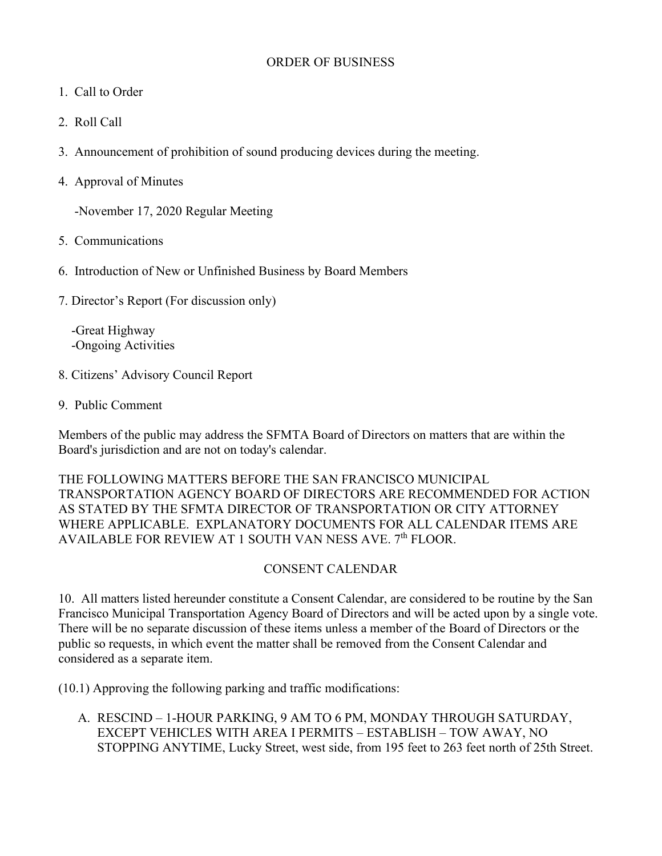#### ORDER OF BUSINESS

- 1. Call to Order
- 2. Roll Call
- 3. Announcement of prohibition of sound producing devices during the meeting.
- 4. Approval of Minutes

-November 17, 2020 Regular Meeting

- 5. Communications
- 6. Introduction of New or Unfinished Business by Board Members
- 7. Director's Report (For discussion only)

 -Great Highway -Ongoing Activities

- 8. Citizens' Advisory Council Report
- 9. Public Comment

Members of the public may address the SFMTA Board of Directors on matters that are within the Board's jurisdiction and are not on today's calendar.

### THE FOLLOWING MATTERS BEFORE THE SAN FRANCISCO MUNICIPAL TRANSPORTATION AGENCY BOARD OF DIRECTORS ARE RECOMMENDED FOR ACTION AS STATED BY THE SFMTA DIRECTOR OF TRANSPORTATION OR CITY ATTORNEY WHERE APPLICABLE. EXPLANATORY DOCUMENTS FOR ALL CALENDAR ITEMS ARE AVAILABLE FOR REVIEW AT 1 SOUTH VAN NESS AVE. 7<sup>th</sup> FLOOR.

## CONSENT CALENDAR

10. All matters listed hereunder constitute a Consent Calendar, are considered to be routine by the San Francisco Municipal Transportation Agency Board of Directors and will be acted upon by a single vote. There will be no separate discussion of these items unless a member of the Board of Directors or the public so requests, in which event the matter shall be removed from the Consent Calendar and considered as a separate item.

(10.1) Approving the following parking and traffic modifications:

A. RESCIND – 1-HOUR PARKING, 9 AM TO 6 PM, MONDAY THROUGH SATURDAY, EXCEPT VEHICLES WITH AREA I PERMITS – ESTABLISH – TOW AWAY, NO STOPPING ANYTIME, Lucky Street, west side, from 195 feet to 263 feet north of 25th Street.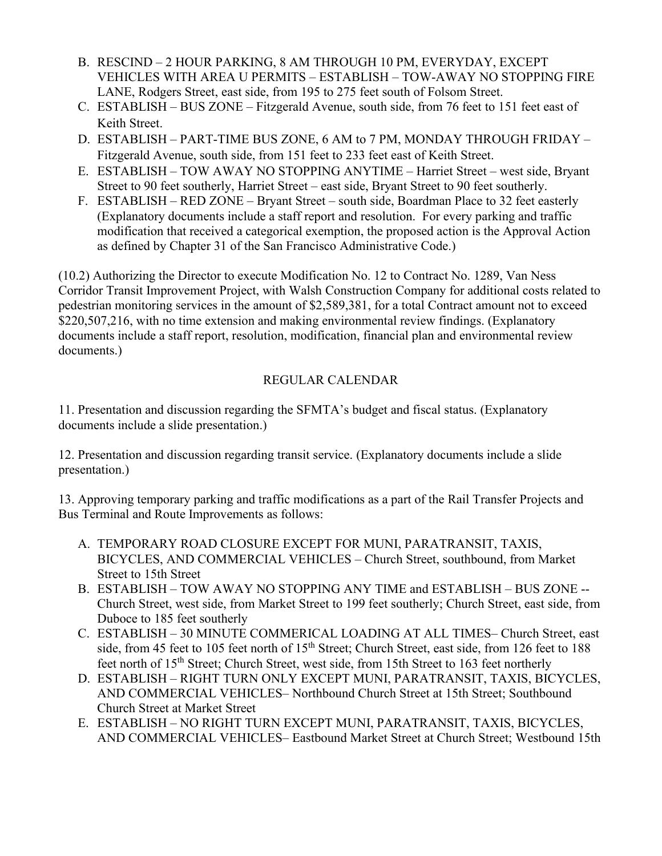- B. RESCIND 2 HOUR PARKING, 8 AM THROUGH 10 PM, EVERYDAY, EXCEPT VEHICLES WITH AREA U PERMITS – ESTABLISH – TOW-AWAY NO STOPPING FIRE LANE, Rodgers Street, east side, from 195 to 275 feet south of Folsom Street.
- C. ESTABLISH BUS ZONE Fitzgerald Avenue, south side, from 76 feet to 151 feet east of Keith Street.
- D. ESTABLISH PART-TIME BUS ZONE, 6 AM to 7 PM, MONDAY THROUGH FRIDAY Fitzgerald Avenue, south side, from 151 feet to 233 feet east of Keith Street.
- E. ESTABLISH TOW AWAY NO STOPPING ANYTIME Harriet Street west side, Bryant Street to 90 feet southerly, Harriet Street – east side, Bryant Street to 90 feet southerly.
- F. ESTABLISH RED ZONE Bryant Street south side, Boardman Place to 32 feet easterly (Explanatory documents include a staff report and resolution. For every parking and traffic modification that received a categorical exemption, the proposed action is the Approval Action as defined by Chapter 31 of the San Francisco Administrative Code.)

(10.2) Authorizing the Director to execute Modification No. 12 to Contract No. 1289, Van Ness Corridor Transit Improvement Project, with Walsh Construction Company for additional costs related to pedestrian monitoring services in the amount of \$2,589,381, for a total Contract amount not to exceed \$220,507,216, with no time extension and making environmental review findings. (Explanatory documents include a staff report, resolution, modification, financial plan and environmental review documents.)

## REGULAR CALENDAR

11. Presentation and discussion regarding the SFMTA's budget and fiscal status. (Explanatory documents include a slide presentation.)

12. Presentation and discussion regarding transit service. (Explanatory documents include a slide presentation.)

13. Approving temporary parking and traffic modifications as a part of the Rail Transfer Projects and Bus Terminal and Route Improvements as follows:

- A. TEMPORARY ROAD CLOSURE EXCEPT FOR MUNI, PARATRANSIT, TAXIS, BICYCLES, AND COMMERCIAL VEHICLES – Church Street, southbound, from Market Street to 15th Street
- B. ESTABLISH TOW AWAY NO STOPPING ANY TIME and ESTABLISH BUS ZONE -- Church Street, west side, from Market Street to 199 feet southerly; Church Street, east side, from Duboce to 185 feet southerly
- C. ESTABLISH 30 MINUTE COMMERICAL LOADING AT ALL TIMES– Church Street, east side, from 45 feet to 105 feet north of 15<sup>th</sup> Street; Church Street, east side, from 126 feet to 188 feet north of 15<sup>th</sup> Street; Church Street, west side, from 15th Street to 163 feet northerly
- D. ESTABLISH RIGHT TURN ONLY EXCEPT MUNI, PARATRANSIT, TAXIS, BICYCLES, AND COMMERCIAL VEHICLES– Northbound Church Street at 15th Street; Southbound Church Street at Market Street
- E. ESTABLISH NO RIGHT TURN EXCEPT MUNI, PARATRANSIT, TAXIS, BICYCLES, AND COMMERCIAL VEHICLES– Eastbound Market Street at Church Street; Westbound 15th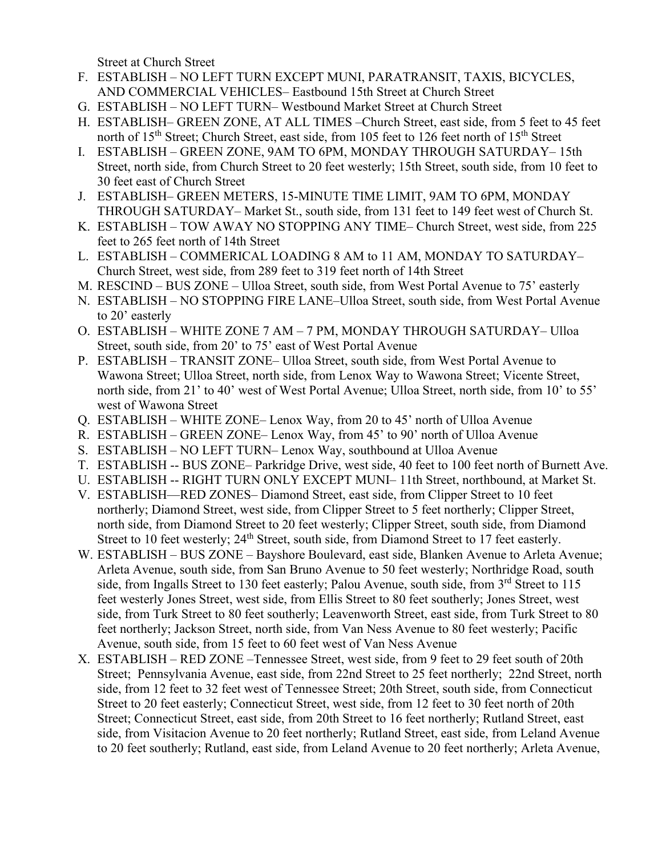Street at Church Street

- F. ESTABLISH NO LEFT TURN EXCEPT MUNI, PARATRANSIT, TAXIS, BICYCLES, AND COMMERCIAL VEHICLES– Eastbound 15th Street at Church Street
- G. ESTABLISH NO LEFT TURN– Westbound Market Street at Church Street
- H. ESTABLISH– GREEN ZONE, AT ALL TIMES –Church Street, east side, from 5 feet to 45 feet north of 15<sup>th</sup> Street; Church Street, east side, from 105 feet to 126 feet north of 15<sup>th</sup> Street
- I. ESTABLISH GREEN ZONE, 9AM TO 6PM, MONDAY THROUGH SATURDAY– 15th Street, north side, from Church Street to 20 feet westerly; 15th Street, south side, from 10 feet to 30 feet east of Church Street
- J. ESTABLISH– GREEN METERS, 15-MINUTE TIME LIMIT, 9AM TO 6PM, MONDAY THROUGH SATURDAY– Market St., south side, from 131 feet to 149 feet west of Church St.
- K. ESTABLISH TOW AWAY NO STOPPING ANY TIME– Church Street, west side, from 225 feet to 265 feet north of 14th Street
- L. ESTABLISH COMMERICAL LOADING 8 AM to 11 AM, MONDAY TO SATURDAY– Church Street, west side, from 289 feet to 319 feet north of 14th Street
- M. RESCIND BUS ZONE Ulloa Street, south side, from West Portal Avenue to 75' easterly
- N. ESTABLISH NO STOPPING FIRE LANE–Ulloa Street, south side, from West Portal Avenue to 20' easterly
- O. ESTABLISH WHITE ZONE 7 AM 7 PM, MONDAY THROUGH SATURDAY– Ulloa Street, south side, from 20' to 75' east of West Portal Avenue
- P. ESTABLISH TRANSIT ZONE– Ulloa Street, south side, from West Portal Avenue to Wawona Street; Ulloa Street, north side, from Lenox Way to Wawona Street; Vicente Street, north side, from 21' to 40' west of West Portal Avenue; Ulloa Street, north side, from 10' to 55' west of Wawona Street
- Q. ESTABLISH WHITE ZONE– Lenox Way, from 20 to 45' north of Ulloa Avenue
- R. ESTABLISH GREEN ZONE– Lenox Way, from 45' to 90' north of Ulloa Avenue
- S. ESTABLISH NO LEFT TURN– Lenox Way, southbound at Ulloa Avenue
- T. ESTABLISH -- BUS ZONE– Parkridge Drive, west side, 40 feet to 100 feet north of Burnett Ave.
- U. ESTABLISH -- RIGHT TURN ONLY EXCEPT MUNI– 11th Street, northbound, at Market St.
- V. ESTABLISH—RED ZONES– Diamond Street, east side, from Clipper Street to 10 feet northerly; Diamond Street, west side, from Clipper Street to 5 feet northerly; Clipper Street, north side, from Diamond Street to 20 feet westerly; Clipper Street, south side, from Diamond Street to 10 feet westerly; 24<sup>th</sup> Street, south side, from Diamond Street to 17 feet easterly.
- W. ESTABLISH BUS ZONE Bayshore Boulevard, east side, Blanken Avenue to Arleta Avenue; Arleta Avenue, south side, from San Bruno Avenue to 50 feet westerly; Northridge Road, south side, from Ingalls Street to 130 feet easterly; Palou Avenue, south side, from 3<sup>rd</sup> Street to 115 feet westerly Jones Street, west side, from Ellis Street to 80 feet southerly; Jones Street, west side, from Turk Street to 80 feet southerly; Leavenworth Street, east side, from Turk Street to 80 feet northerly; Jackson Street, north side, from Van Ness Avenue to 80 feet westerly; Pacific Avenue, south side, from 15 feet to 60 feet west of Van Ness Avenue
- X. ESTABLISH RED ZONE –Tennessee Street, west side, from 9 feet to 29 feet south of 20th Street; Pennsylvania Avenue, east side, from 22nd Street to 25 feet northerly; 22nd Street, north side, from 12 feet to 32 feet west of Tennessee Street; 20th Street, south side, from Connecticut Street to 20 feet easterly; Connecticut Street, west side, from 12 feet to 30 feet north of 20th Street; Connecticut Street, east side, from 20th Street to 16 feet northerly; Rutland Street, east side, from Visitacion Avenue to 20 feet northerly; Rutland Street, east side, from Leland Avenue to 20 feet southerly; Rutland, east side, from Leland Avenue to 20 feet northerly; Arleta Avenue,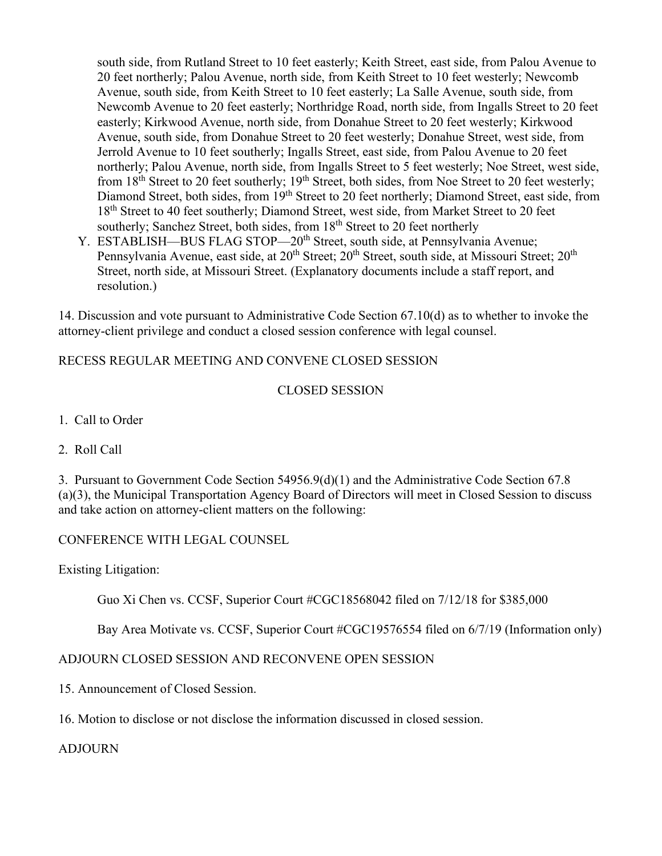south side, from Rutland Street to 10 feet easterly; Keith Street, east side, from Palou Avenue to 20 feet northerly; Palou Avenue, north side, from Keith Street to 10 feet westerly; Newcomb Avenue, south side, from Keith Street to 10 feet easterly; La Salle Avenue, south side, from Newcomb Avenue to 20 feet easterly; Northridge Road, north side, from Ingalls Street to 20 feet easterly; Kirkwood Avenue, north side, from Donahue Street to 20 feet westerly; Kirkwood Avenue, south side, from Donahue Street to 20 feet westerly; Donahue Street, west side, from Jerrold Avenue to 10 feet southerly; Ingalls Street, east side, from Palou Avenue to 20 feet northerly; Palou Avenue, north side, from Ingalls Street to 5 feet westerly; Noe Street, west side, from  $18<sup>th</sup>$  Street to 20 feet southerly;  $19<sup>th</sup>$  Street, both sides, from Noe Street to 20 feet westerly; Diamond Street, both sides, from 19<sup>th</sup> Street to 20 feet northerly; Diamond Street, east side, from 18<sup>th</sup> Street to 40 feet southerly; Diamond Street, west side, from Market Street to 20 feet southerly; Sanchez Street, both sides, from 18<sup>th</sup> Street to 20 feet northerly

Y. ESTABLISH—BUS FLAG STOP—20<sup>th</sup> Street, south side, at Pennsylvania Avenue; Pennsylvania Avenue, east side, at 20<sup>th</sup> Street; 20<sup>th</sup> Street, south side, at Missouri Street; 20<sup>th</sup> Street, north side, at Missouri Street. (Explanatory documents include a staff report, and resolution.)

14. Discussion and vote pursuant to Administrative Code Section 67.10(d) as to whether to invoke the attorney-client privilege and conduct a closed session conference with legal counsel.

### RECESS REGULAR MEETING AND CONVENE CLOSED SESSION

### CLOSED SESSION

- 1. Call to Order
- 2. Roll Call

3. Pursuant to Government Code Section 54956.9(d)(1) and the Administrative Code Section 67.8 (a)(3), the Municipal Transportation Agency Board of Directors will meet in Closed Session to discuss and take action on attorney-client matters on the following:

### CONFERENCE WITH LEGAL COUNSEL

Existing Litigation:

Guo Xi Chen vs. CCSF, Superior Court #CGC18568042 filed on 7/12/18 for \$385,000

Bay Area Motivate vs. CCSF, Superior Court #CGC19576554 filed on 6/7/19 (Information only)

### ADJOURN CLOSED SESSION AND RECONVENE OPEN SESSION

- 15. Announcement of Closed Session.
- 16. Motion to disclose or not disclose the information discussed in closed session.

### ADJOURN